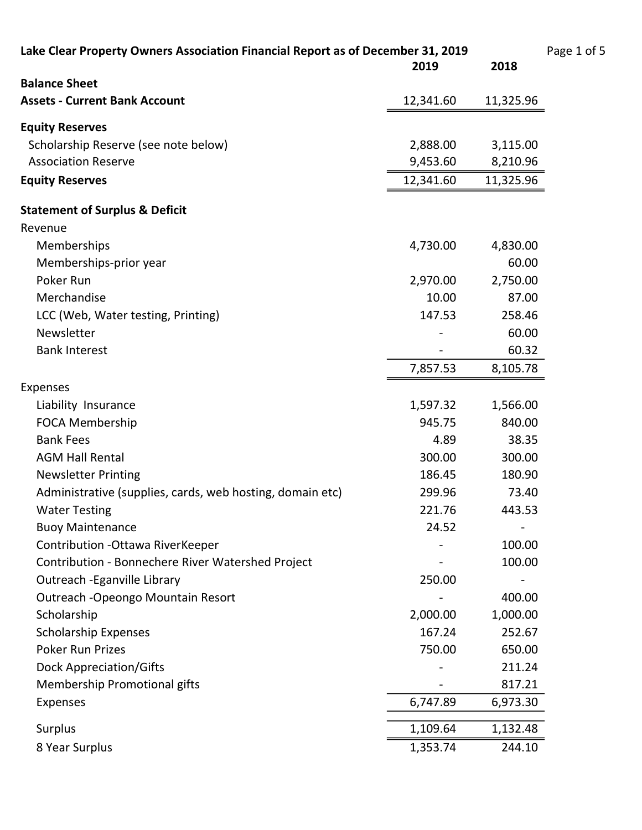Lake Clear Property Owners Association Financial Report as of December 31, 2019 Page 1 of 5<br>2018 2019

|                                                           | 2019      | 2018      |
|-----------------------------------------------------------|-----------|-----------|
| <b>Balance Sheet</b>                                      |           |           |
| <b>Assets - Current Bank Account</b>                      | 12,341.60 | 11,325.96 |
| <b>Equity Reserves</b>                                    |           |           |
| Scholarship Reserve (see note below)                      | 2,888.00  | 3,115.00  |
| <b>Association Reserve</b>                                | 9,453.60  | 8,210.96  |
| <b>Equity Reserves</b>                                    | 12,341.60 | 11,325.96 |
| <b>Statement of Surplus &amp; Deficit</b>                 |           |           |
| Revenue                                                   |           |           |
| Memberships                                               | 4,730.00  | 4,830.00  |
| Memberships-prior year                                    |           | 60.00     |
| Poker Run                                                 | 2,970.00  | 2,750.00  |
| Merchandise                                               | 10.00     | 87.00     |
| LCC (Web, Water testing, Printing)                        | 147.53    | 258.46    |
| Newsletter                                                |           | 60.00     |
| <b>Bank Interest</b>                                      |           | 60.32     |
|                                                           | 7,857.53  | 8,105.78  |
| <b>Expenses</b>                                           |           |           |
| Liability Insurance                                       | 1,597.32  | 1,566.00  |
| <b>FOCA Membership</b>                                    | 945.75    | 840.00    |
| <b>Bank Fees</b>                                          | 4.89      | 38.35     |
| <b>AGM Hall Rental</b>                                    | 300.00    | 300.00    |
| <b>Newsletter Printing</b>                                | 186.45    | 180.90    |
| Administrative (supplies, cards, web hosting, domain etc) | 299.96    | 73.40     |
| <b>Water Testing</b>                                      | 221.76    | 443.53    |
| <b>Buoy Maintenance</b>                                   | 24.52     |           |
| Contribution - Ottawa RiverKeeper                         |           | 100.00    |
| Contribution - Bonnechere River Watershed Project         |           | 100.00    |
| Outreach - Eganville Library                              | 250.00    |           |
| Outreach - Opeongo Mountain Resort                        |           | 400.00    |
| Scholarship                                               | 2,000.00  | 1,000.00  |
| <b>Scholarship Expenses</b>                               | 167.24    | 252.67    |
| <b>Poker Run Prizes</b>                                   | 750.00    | 650.00    |
| <b>Dock Appreciation/Gifts</b>                            |           | 211.24    |
| Membership Promotional gifts                              |           | 817.21    |
| <b>Expenses</b>                                           | 6,747.89  | 6,973.30  |
| Surplus                                                   | 1,109.64  | 1,132.48  |
| 8 Year Surplus                                            | 1,353.74  | 244.10    |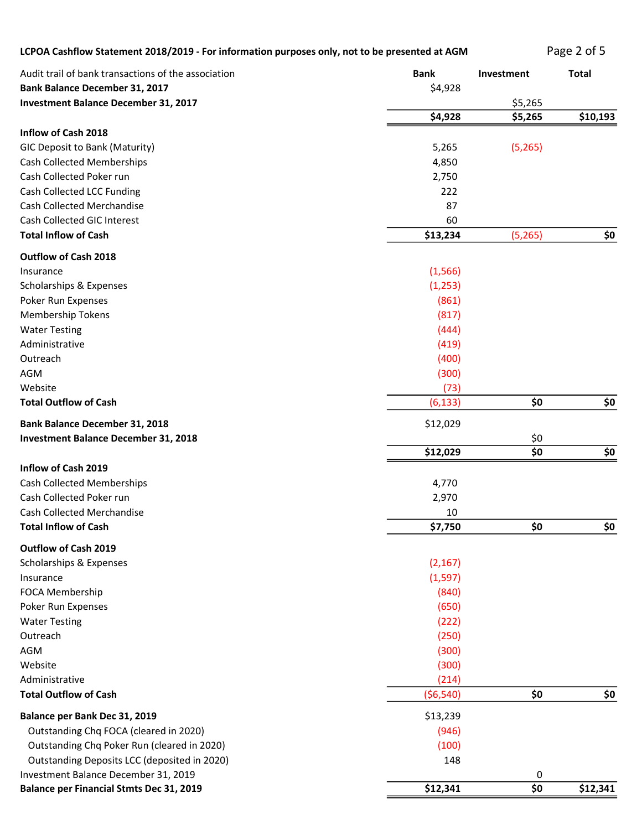| LCPOA Cashflow Statement 2018/2019 - For information purposes only, not to be presented at AGM |                        |            | Page 2 of 5  |
|------------------------------------------------------------------------------------------------|------------------------|------------|--------------|
| Audit trail of bank transactions of the association<br><b>Bank Balance December 31, 2017</b>   | <b>Bank</b><br>\$4,928 | Investment | <b>Total</b> |
| <b>Investment Balance December 31, 2017</b>                                                    |                        | \$5,265    |              |
|                                                                                                | \$4,928                | \$5,265    | \$10,193     |
| Inflow of Cash 2018                                                                            |                        |            |              |
| GIC Deposit to Bank (Maturity)                                                                 | 5,265                  | (5,265)    |              |
| <b>Cash Collected Memberships</b>                                                              | 4,850                  |            |              |
| Cash Collected Poker run                                                                       | 2,750                  |            |              |
| Cash Collected LCC Funding                                                                     | 222                    |            |              |
| <b>Cash Collected Merchandise</b>                                                              | 87                     |            |              |
| Cash Collected GIC Interest                                                                    | 60                     |            |              |
| <b>Total Inflow of Cash</b>                                                                    | \$13,234               | (5, 265)   | \$0          |
| Outflow of Cash 2018                                                                           |                        |            |              |
| Insurance                                                                                      | (1, 566)               |            |              |
| Scholarships & Expenses                                                                        | (1,253)                |            |              |
| Poker Run Expenses                                                                             | (861)                  |            |              |
| <b>Membership Tokens</b>                                                                       | (817)                  |            |              |
| <b>Water Testing</b>                                                                           | (444)                  |            |              |
| Administrative                                                                                 | (419)                  |            |              |
| Outreach                                                                                       | (400)                  |            |              |
| AGM                                                                                            | (300)                  |            |              |
| Website                                                                                        | (73)                   |            |              |
| <b>Total Outflow of Cash</b>                                                                   | (6, 133)               | \$0        | \$0          |
| <b>Bank Balance December 31, 2018</b>                                                          | \$12,029               |            |              |
| <b>Investment Balance December 31, 2018</b>                                                    |                        | \$0        |              |
|                                                                                                | \$12,029               | \$0        | \$0          |
| Inflow of Cash 2019                                                                            |                        |            |              |
| <b>Cash Collected Memberships</b>                                                              | 4,770                  |            |              |
| Cash Collected Poker run                                                                       | 2,970                  |            |              |
| Cash Collected Merchandise                                                                     | 10                     |            |              |
| <b>Total Inflow of Cash</b>                                                                    | \$7,750                | \$0        | \$0          |
| Outflow of Cash 2019                                                                           |                        |            |              |
| Scholarships & Expenses                                                                        | (2, 167)               |            |              |
| Insurance                                                                                      | (1, 597)               |            |              |
| FOCA Membership                                                                                | (840)                  |            |              |
| Poker Run Expenses                                                                             | (650)                  |            |              |
| <b>Water Testing</b>                                                                           | (222)                  |            |              |
| Outreach                                                                                       | (250)                  |            |              |
| AGM                                                                                            | (300)                  |            |              |
| Website                                                                                        | (300)                  |            |              |
| Administrative                                                                                 | (214)                  |            |              |
| <b>Total Outflow of Cash</b>                                                                   | (56, 540)              | \$0        | \$0          |
|                                                                                                |                        |            |              |
| Balance per Bank Dec 31, 2019                                                                  | \$13,239               |            |              |
| Outstanding Chq FOCA (cleared in 2020)                                                         | (946)                  |            |              |
| Outstanding Chq Poker Run (cleared in 2020)                                                    | (100)                  |            |              |
| Outstanding Deposits LCC (deposited in 2020)                                                   | 148                    |            |              |
| Investment Balance December 31, 2019                                                           |                        | $\pmb{0}$  |              |

Balance per Financial Stmts Dec 31, 2019 **1994 12, 2019** \$12,341 \$0 \$12,341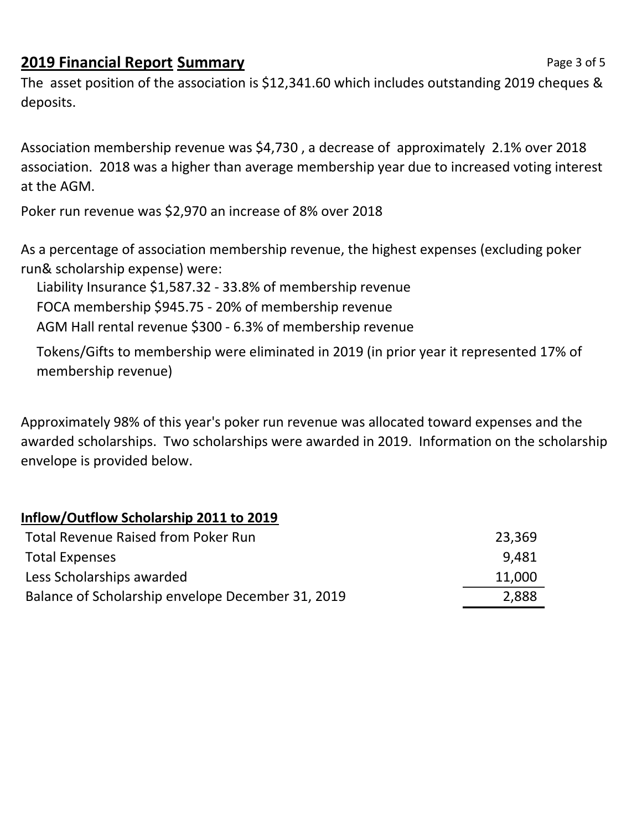## **2019 Financial Report Summary** *Page 3 of 5*

The asset position of the association is \$12,341.60 which includes outstanding 2019 cheques & deposits.

Association membership revenue was \$4,730 , a decrease of approximately 2.1% over 2018 association. 2018 was a higher than average membership year due to increased voting interest at the AGM.

Poker run revenue was \$2,970 an increase of 8% over 2018

As a percentage of association membership revenue, the highest expenses (excluding poker run& scholarship expense) were:

Liability Insurance \$1,587.32 - 33.8% of membership revenue

FOCA membership \$945.75 - 20% of membership revenue

AGM Hall rental revenue \$300 - 6.3% of membership revenue

Tokens/Gifts to membership were eliminated in 2019 (in prior year it represented 17% of membership revenue)

Approximately 98% of this year's poker run revenue was allocated toward expenses and the awarded scholarships. Two scholarships were awarded in 2019. Information on the scholarship envelope is provided below.

## Inflow/Outflow Scholarship 2011 to 2019

| <b>Total Revenue Raised from Poker Run</b>        | 23,369 |
|---------------------------------------------------|--------|
| <b>Total Expenses</b>                             | 9.481  |
| Less Scholarships awarded                         | 11,000 |
| Balance of Scholarship envelope December 31, 2019 | 2,888  |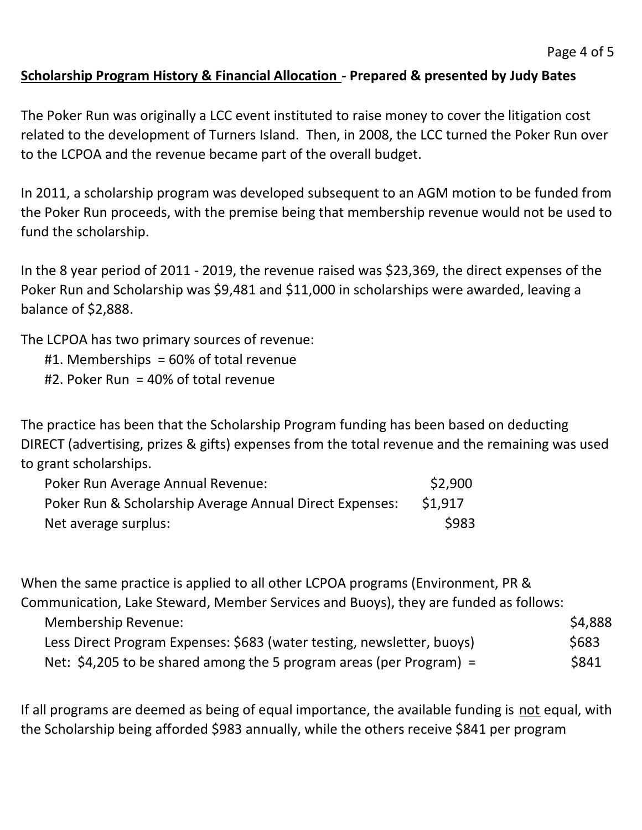## Scholarship Program History & Financial Allocation - Prepared & presented by Judy Bates

The Poker Run was originally a LCC event instituted to raise money to cover the litigation cost related to the development of Turners Island. Then, in 2008, the LCC turned the Poker Run over to the LCPOA and the revenue became part of the overall budget.

In 2011, a scholarship program was developed subsequent to an AGM motion to be funded from the Poker Run proceeds, with the premise being that membership revenue would not be used to fund the scholarship.

In the 8 year period of 2011 - 2019, the revenue raised was \$23,369, the direct expenses of the Poker Run and Scholarship was \$9,481 and \$11,000 in scholarships were awarded, leaving a balance of \$2,888.

The LCPOA has two primary sources of revenue:

- #1. Memberships = 60% of total revenue
- #2. Poker Run = 40% of total revenue

The practice has been that the Scholarship Program funding has been based on deducting DIRECT (advertising, prizes & gifts) expenses from the total revenue and the remaining was used to grant scholarships.

| Poker Run Average Annual Revenue:                       | \$2,900      |
|---------------------------------------------------------|--------------|
| Poker Run & Scholarship Average Annual Direct Expenses: | \$1,917      |
| Net average surplus:                                    | <b>\$983</b> |

When the same practice is applied to all other LCPOA programs (Environment, PR &

Communication, Lake Steward, Member Services and Buoys), they are funded as follows:

| <b>Membership Revenue:</b>                                             | \$4,888 |
|------------------------------------------------------------------------|---------|
| Less Direct Program Expenses: \$683 (water testing, newsletter, buoys) | \$683   |
| Net: \$4,205 to be shared among the 5 program areas (per Program) =    | \$841   |

If all programs are deemed as being of equal importance, the available funding is not equal, with the Scholarship being afforded \$983 annually, while the others receive \$841 per program